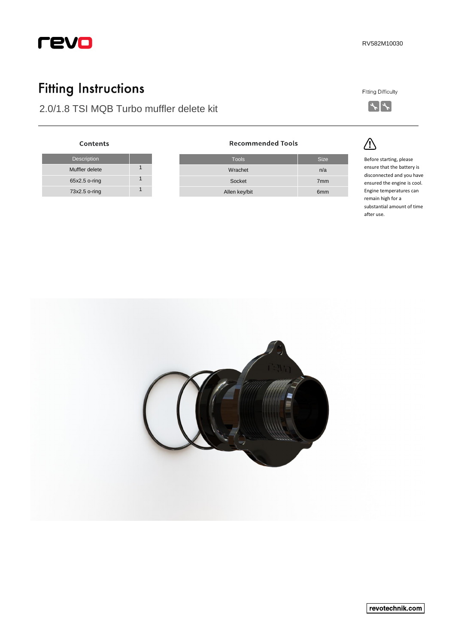

## **Fitting Instructions**

Description

Contents

Muffler delete 1 65x2.5 o-ring 1 73x2.5 o-ring 1

## 2.0/1.8 TSI MQB Turbo muffler delete kit

**Fitting Difficulty** 



<u>/</u>

Tools Size Wrachet n/a Socket 7mm Allen key/bit 6mm

**Recommended Tools** 

Before starting, please ensure that the battery is disconnected and you have ensured the engine is cool. Engine temperatures can remain high for a substantial amount of time after use.



revotechnik.com